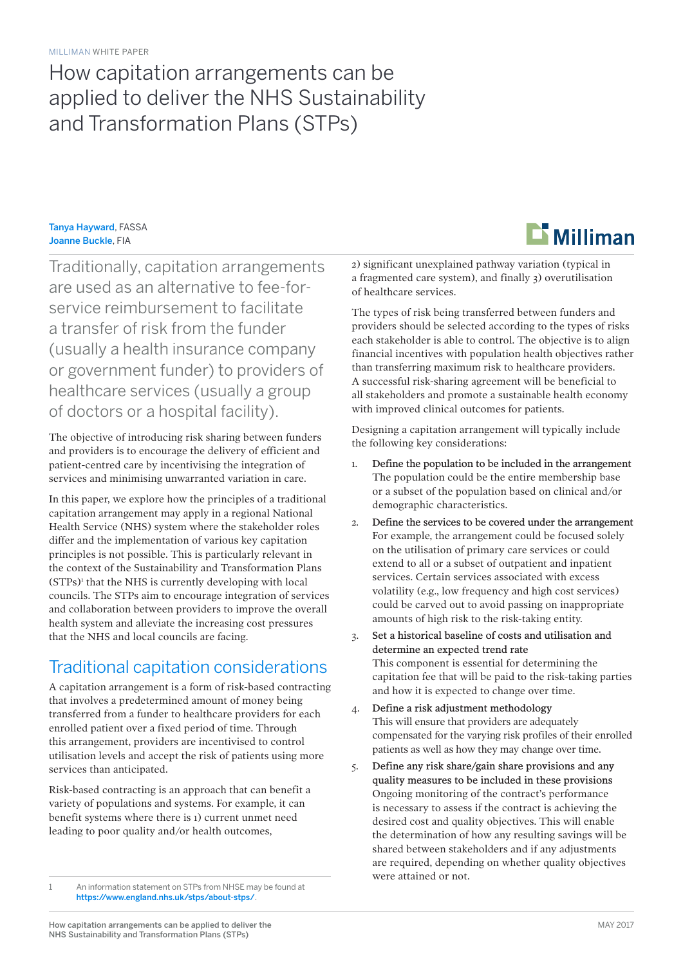# How capitation arrangements can be applied to deliver the NHS Sustainability and Transformation Plans (STPs)

#### Tanya Hayward, FASSA Joanne Buckle, FIA

Traditionally, capitation arrangements are used as an alternative to fee-forservice reimbursement to facilitate a transfer of risk from the funder (usually a health insurance company or government funder) to providers of healthcare services (usually a group of doctors or a hospital facility).

The objective of introducing risk sharing between funders and providers is to encourage the delivery of efficient and patient-centred care by incentivising the integration of services and minimising unwarranted variation in care.

In this paper, we explore how the principles of a traditional capitation arrangement may apply in a regional National Health Service (NHS) system where the stakeholder roles differ and the implementation of various key capitation principles is not possible. This is particularly relevant in the context of the Sustainability and Transformation Plans (STPs)<sup>1</sup> that the NHS is currently developing with local councils. The STPs aim to encourage integration of services and collaboration between providers to improve the overall health system and alleviate the increasing cost pressures that the NHS and local councils are facing.

### Traditional capitation considerations

A capitation arrangement is a form of risk-based contracting that involves a predetermined amount of money being transferred from a funder to healthcare providers for each enrolled patient over a fixed period of time. Through this arrangement, providers are incentivised to control utilisation levels and accept the risk of patients using more services than anticipated.

Risk-based contracting is an approach that can benefit a variety of populations and systems. For example, it can benefit systems where there is 1) current unmet need leading to poor quality and/or health outcomes,

1 An information statement on STPs from NHSE may be found at <https://www.england.nhs.uk/stps/about-stps/>.



2) significant unexplained pathway variation (typical in a fragmented care system), and finally 3) overutilisation of healthcare services.

The types of risk being transferred between funders and providers should be selected according to the types of risks each stakeholder is able to control. The objective is to align financial incentives with population health objectives rather than transferring maximum risk to healthcare providers. A successful risk-sharing agreement will be beneficial to all stakeholders and promote a sustainable health economy with improved clinical outcomes for patients.

Designing a capitation arrangement will typically include the following key considerations:

- 1. Define the population to be included in the arrangement The population could be the entire membership base or a subset of the population based on clinical and/or demographic characteristics.
- 2. Define the services to be covered under the arrangement For example, the arrangement could be focused solely on the utilisation of primary care services or could extend to all or a subset of outpatient and inpatient services. Certain services associated with excess volatility (e.g., low frequency and high cost services) could be carved out to avoid passing on inappropriate amounts of high risk to the risk-taking entity.
- 3. Set a historical baseline of costs and utilisation and determine an expected trend rate This component is essential for determining the capitation fee that will be paid to the risk-taking parties and how it is expected to change over time.
- 4. Define a risk adjustment methodology This will ensure that providers are adequately compensated for the varying risk profiles of their enrolled patients as well as how they may change over time.
- 5. Define any risk share/gain share provisions and any quality measures to be included in these provisions Ongoing monitoring of the contract's performance is necessary to assess if the contract is achieving the desired cost and quality objectives. This will enable the determination of how any resulting savings will be shared between stakeholders and if any adjustments are required, depending on whether quality objectives were attained or not.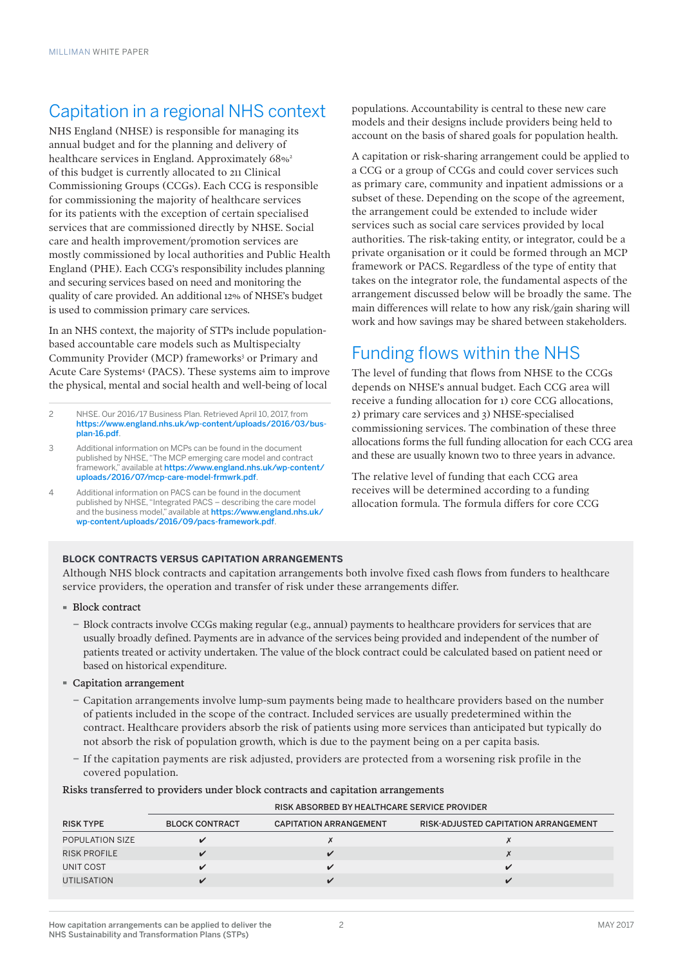# Capitation in a regional NHS context

NHS England (NHSE) is responsible for managing its annual budget and for the planning and delivery of healthcare services in England. Approximately 68%<sup>2</sup> of this budget is currently allocated to 211 Clinical Commissioning Groups (CCGs). Each CCG is responsible for commissioning the majority of healthcare services for its patients with the exception of certain specialised services that are commissioned directly by NHSE. Social care and health improvement/promotion services are mostly commissioned by local authorities and Public Health England (PHE). Each CCG's responsibility includes planning and securing services based on need and monitoring the quality of care provided. An additional 12% of NHSE's budget is used to commission primary care services.

In an NHS context, the majority of STPs include populationbased accountable care models such as Multispecialty Community Provider (MCP) frameworks<sup>3</sup> or Primary and Acute Care Systems<sup>4</sup> (PACS). These systems aim to improve the physical, mental and social health and well-being of local

2 NHSE. Our 2016/17 Business Plan. Retrieved April 10, 2017, from [https://www.england.nhs.uk/wp-content/uploads/2016/03/bus](https://www.england.nhs.uk/wp-content/uploads/2016/03/bus-plan-16.pdf)[plan-16.pdf](https://www.england.nhs.uk/wp-content/uploads/2016/03/bus-plan-16.pdf).

- 3 Additional information on MCPs can be found in the document published by NHSE, "The MCP emerging care model and contract framework," available at [https://www.england.nhs.uk/wp-content/](https://www.england.nhs.uk/wp-content/uploads/2016/07/mcp-care-model-frmwrk.pdf) [uploads/2016/07/mcp-care-model-frmwrk.pdf](https://www.england.nhs.uk/wp-content/uploads/2016/07/mcp-care-model-frmwrk.pdf).
- 4 Additional information on PACS can be found in the document published by NHSE, "Integrated PACS – describing the care model and the business model," available at [https://www.england.nhs.uk/](https://www.england.nhs.uk/wp-content/uploads/2016/09/pacs-framework.pdf) [wp-content/uploads/2016/09/pacs-framework.pdf](https://www.england.nhs.uk/wp-content/uploads/2016/09/pacs-framework.pdf).

populations. Accountability is central to these new care models and their designs include providers being held to account on the basis of shared goals for population health.

A capitation or risk-sharing arrangement could be applied to a CCG or a group of CCGs and could cover services such as primary care, community and inpatient admissions or a subset of these. Depending on the scope of the agreement, the arrangement could be extended to include wider services such as social care services provided by local authorities. The risk-taking entity, or integrator, could be a private organisation or it could be formed through an MCP framework or PACS. Regardless of the type of entity that takes on the integrator role, the fundamental aspects of the arrangement discussed below will be broadly the same. The main differences will relate to how any risk/gain sharing will work and how savings may be shared between stakeholders.

## Funding flows within the NHS

The level of funding that flows from NHSE to the CCGs depends on NHSE's annual budget. Each CCG area will receive a funding allocation for 1) core CCG allocations, 2) primary care services and 3) NHSE-specialised commissioning services. The combination of these three allocations forms the full funding allocation for each CCG area and these are usually known two to three years in advance.

The relative level of funding that each CCG area receives will be determined according to a funding allocation formula. The formula differs for core CCG

#### **BLOCK CONTRACTS VERSUS CAPITATION ARRANGEMENTS**

Although NHS block contracts and capitation arrangements both involve fixed cash flows from funders to healthcare service providers, the operation and transfer of risk under these arrangements differ.

- · Block contract
	- − Block contracts involve CCGs making regular (e.g., annual) payments to healthcare providers for services that are usually broadly defined. Payments are in advance of the services being provided and independent of the number of patients treated or activity undertaken. The value of the block contract could be calculated based on patient need or based on historical expenditure.
- · Capitation arrangement
	- − Capitation arrangements involve lump-sum payments being made to healthcare providers based on the number of patients included in the scope of the contract. Included services are usually predetermined within the contract. Healthcare providers absorb the risk of patients using more services than anticipated but typically do not absorb the risk of population growth, which is due to the payment being on a per capita basis.
	- − If the capitation payments are risk adjusted, providers are protected from a worsening risk profile in the covered population.

#### Risks transferred to providers under block contracts and capitation arrangements

RISK ABSORBED BY HEALTHCARE SERVICE PROVIDER

| <b>BLOCK CONTRACT</b> | <b>CAPITATION ARRANGEMENT</b> | RISK-ADJUSTED CAPITATION ARRANGEMENT |
|-----------------------|-------------------------------|--------------------------------------|
|                       |                               |                                      |
|                       |                               |                                      |
|                       |                               | ✓                                    |
|                       |                               | $\overline{\mathbf{z}}$              |
|                       |                               |                                      |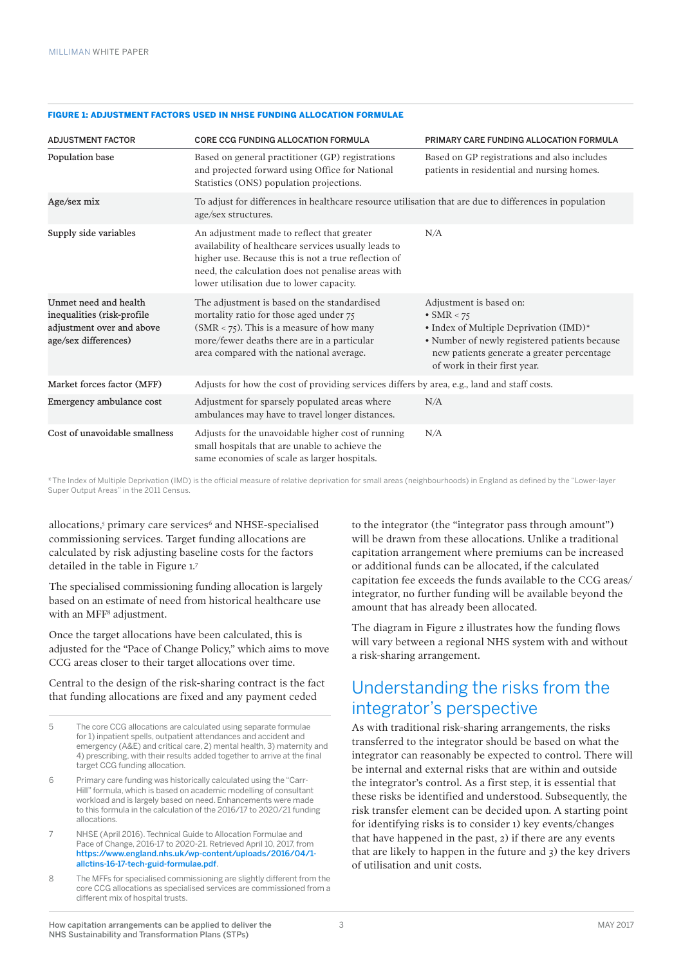#### FIGURE 1: ADJUSTMENT FACTORS USED IN NHSE FUNDING ALLOCATION FORMULAE

| <b>ADJUSTMENT FACTOR</b>                                                                                 | <b>CORE CCG FUNDING ALLOCATION FORMULA</b>                                                                                                                                                                                                                   | PRIMARY CARE FUNDING ALLOCATION FORMULA                                                                                                                                                                                |
|----------------------------------------------------------------------------------------------------------|--------------------------------------------------------------------------------------------------------------------------------------------------------------------------------------------------------------------------------------------------------------|------------------------------------------------------------------------------------------------------------------------------------------------------------------------------------------------------------------------|
| Population base                                                                                          | Based on general practitioner (GP) registrations<br>and projected forward using Office for National<br>Statistics (ONS) population projections.                                                                                                              | Based on GP registrations and also includes<br>patients in residential and nursing homes.                                                                                                                              |
| Age/sex mix                                                                                              | To adjust for differences in healthcare resource utilisation that are due to differences in population<br>age/sex structures.                                                                                                                                |                                                                                                                                                                                                                        |
| Supply side variables                                                                                    | An adjustment made to reflect that greater<br>availability of healthcare services usually leads to<br>higher use. Because this is not a true reflection of<br>need, the calculation does not penalise areas with<br>lower utilisation due to lower capacity. | N/A                                                                                                                                                                                                                    |
| Unmet need and health<br>inequalities (risk-profile<br>adjustment over and above<br>age/sex differences) | The adjustment is based on the standardised<br>mortality ratio for those aged under 75<br>$(SMR < 75)$ . This is a measure of how many<br>more/fewer deaths there are in a particular<br>area compared with the national average.                            | Adjustment is based on:<br>$\bullet$ SMR < 75<br>• Index of Multiple Deprivation (IMD)*<br>· Number of newly registered patients because<br>new patients generate a greater percentage<br>of work in their first year. |
| Market forces factor (MFF)                                                                               | Adjusts for how the cost of providing services differs by area, e.g., land and staff costs.                                                                                                                                                                  |                                                                                                                                                                                                                        |
| Emergency ambulance cost                                                                                 | Adjustment for sparsely populated areas where<br>ambulances may have to travel longer distances.                                                                                                                                                             | N/A                                                                                                                                                                                                                    |
| Cost of unavoidable smallness                                                                            | Adjusts for the unavoidable higher cost of running<br>small hospitals that are unable to achieve the<br>same economies of scale as larger hospitals.                                                                                                         | N/A                                                                                                                                                                                                                    |

\*The Index of Multiple Deprivation (IMD) is the official measure of relative deprivation for small areas (neighbourhoods) in England as defined by the "Lower-layer Super Output Areas" in the 2011 Census.

allocations,<sup>5</sup> primary care services<sup>6</sup> and NHSE-specialised commissioning services. Target funding allocations are calculated by risk adjusting baseline costs for the factors detailed in the table in Figure 1.7

The specialised commissioning funding allocation is largely based on an estimate of need from historical healthcare use with an MFF8 adjustment.

Once the target allocations have been calculated, this is adjusted for the "Pace of Change Policy," which aims to move CCG areas closer to their target allocations over time.

Central to the design of the risk-sharing contract is the fact that funding allocations are fixed and any payment ceded

5 The core CCG allocations are calculated using separate formulae for 1) inpatient spells, outpatient attendances and accident and emergency (A&E) and critical care, 2) mental health, 3) maternity and 4) prescribing, with their results added together to arrive at the final target CCG funding allocation.

6 Primary care funding was historically calculated using the "Carr-Hill" formula, which is based on academic modelling of consultant workload and is largely based on need. Enhancements were made to this formula in the calculation of the 2016/17 to 2020/21 funding allocations.

7 NHSE (April 2016). Technical Guide to Allocation Formulae and Pace of Change, 2016-17 to 2020-21. Retrieved April 10, 2017, from [https://www.england.nhs.uk/wp-content/uploads/2016/04/1](https://www.england.nhs.uk/wp-content/uploads/2016/04/1-allctins-16-17-tech-guid-formulae.pdf) [allctins-16-17-tech-guid-formulae.pdf](https://www.england.nhs.uk/wp-content/uploads/2016/04/1-allctins-16-17-tech-guid-formulae.pdf).

8 The MFFs for specialised commissioning are slightly different from the core CCG allocations as specialised services are commissioned from a different mix of hospital trusts.

to the integrator (the "integrator pass through amount") will be drawn from these allocations. Unlike a traditional capitation arrangement where premiums can be increased or additional funds can be allocated, if the calculated capitation fee exceeds the funds available to the CCG areas/ integrator, no further funding will be available beyond the amount that has already been allocated.

The diagram in Figure 2 illustrates how the funding flows will vary between a regional NHS system with and without a risk-sharing arrangement.

### Understanding the risks from the integrator's perspective

As with traditional risk-sharing arrangements, the risks transferred to the integrator should be based on what the integrator can reasonably be expected to control. There will be internal and external risks that are within and outside the integrator's control. As a first step, it is essential that these risks be identified and understood. Subsequently, the risk transfer element can be decided upon. A starting point for identifying risks is to consider 1) key events/changes that have happened in the past, 2) if there are any events that are likely to happen in the future and 3) the key drivers of utilisation and unit costs.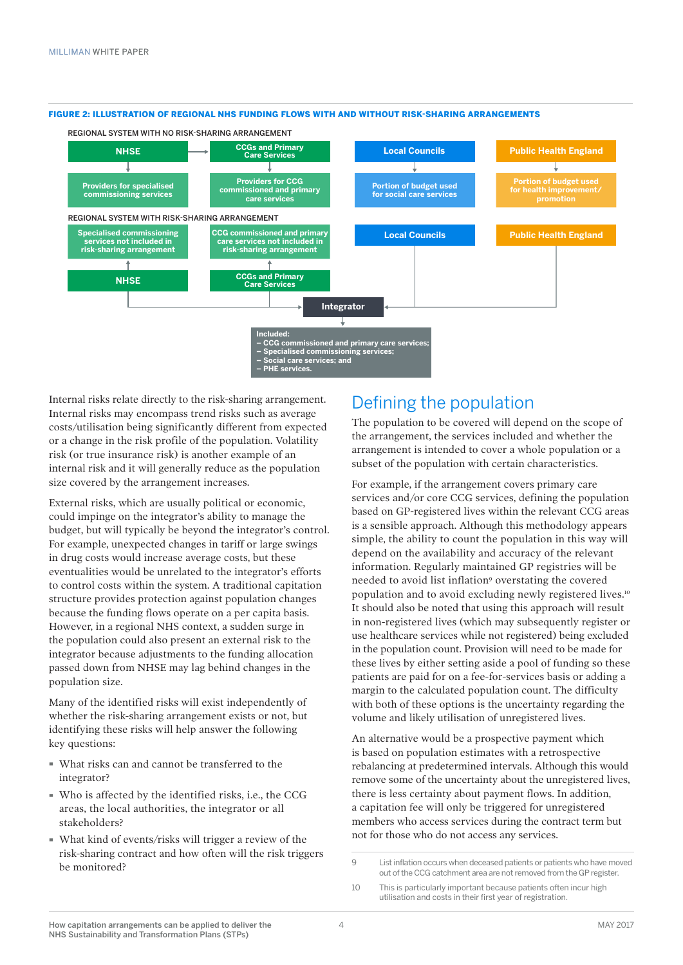

#### FIGURE 2: ILLUSTRATION OF REGIONAL NHS FUNDING FLOWS WITH AND WITHOUT RISK-SHARING ARRANGEMENTS

Internal risks relate directly to the risk-sharing arrangement. Internal risks may encompass trend risks such as average costs/utilisation being significantly different from expected or a change in the risk profile of the population. Volatility risk (or true insurance risk) is another example of an internal risk and it will generally reduce as the population size covered by the arrangement increases.

External risks, which are usually political or economic, could impinge on the integrator's ability to manage the budget, but will typically be beyond the integrator's control. For example, unexpected changes in tariff or large swings in drug costs would increase average costs, but these eventualities would be unrelated to the integrator's efforts to control costs within the system. A traditional capitation structure provides protection against population changes because the funding flows operate on a per capita basis. However, in a regional NHS context, a sudden surge in the population could also present an external risk to the integrator because adjustments to the funding allocation passed down from NHSE may lag behind changes in the population size.

Many of the identified risks will exist independently of whether the risk-sharing arrangement exists or not, but identifying these risks will help answer the following key questions:

- · What risks can and cannot be transferred to the integrator?
- · Who is affected by the identified risks, i.e., the CCG areas, the local authorities, the integrator or all stakeholders?
- · What kind of events/risks will trigger a review of the risk-sharing contract and how often will the risk triggers be monitored?

### Defining the population

The population to be covered will depend on the scope of the arrangement, the services included and whether the arrangement is intended to cover a whole population or a subset of the population with certain characteristics.

For example, if the arrangement covers primary care services and/or core CCG services, defining the population based on GP-registered lives within the relevant CCG areas is a sensible approach. Although this methodology appears simple, the ability to count the population in this way will depend on the availability and accuracy of the relevant information. Regularly maintained GP registries will be needed to avoid list inflation<sup>9</sup> overstating the covered population and to avoid excluding newly registered lives.10 It should also be noted that using this approach will result in non-registered lives (which may subsequently register or use healthcare services while not registered) being excluded in the population count. Provision will need to be made for these lives by either setting aside a pool of funding so these patients are paid for on a fee-for-services basis or adding a margin to the calculated population count. The difficulty with both of these options is the uncertainty regarding the volume and likely utilisation of unregistered lives.

An alternative would be a prospective payment which is based on population estimates with a retrospective rebalancing at predetermined intervals. Although this would remove some of the uncertainty about the unregistered lives, there is less certainty about payment flows. In addition, a capitation fee will only be triggered for unregistered members who access services during the contract term but not for those who do not access any services.

<sup>9</sup> List inflation occurs when deceased patients or patients who have moved out of the CCG catchment area are not removed from the GP register.

<sup>10</sup> This is particularly important because patients often incur high utilisation and costs in their first year of registration.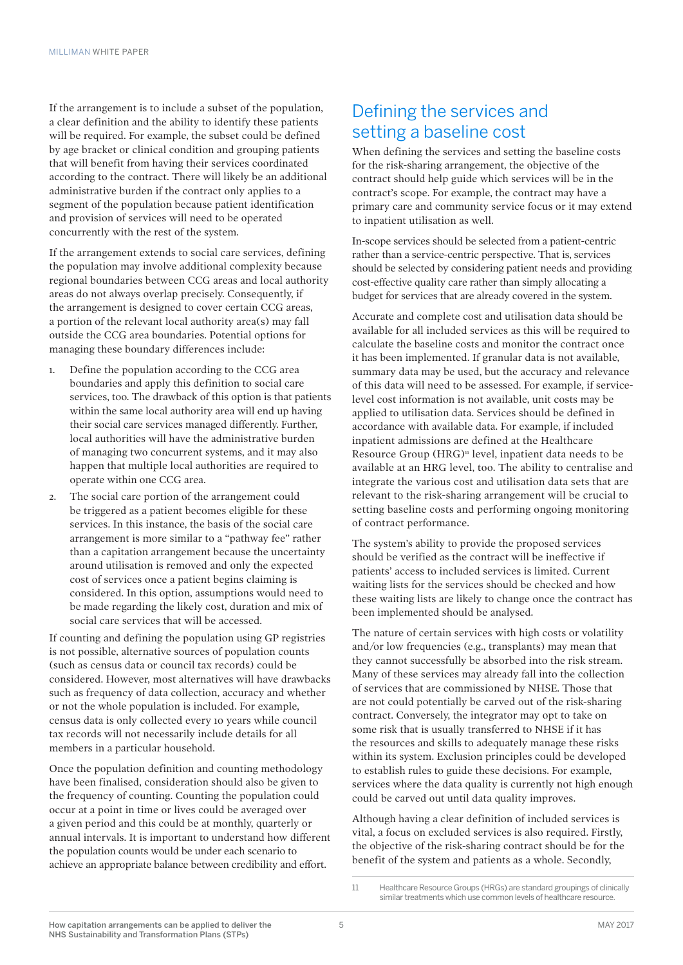If the arrangement is to include a subset of the population, a clear definition and the ability to identify these patients will be required. For example, the subset could be defined by age bracket or clinical condition and grouping patients that will benefit from having their services coordinated according to the contract. There will likely be an additional administrative burden if the contract only applies to a segment of the population because patient identification and provision of services will need to be operated concurrently with the rest of the system.

If the arrangement extends to social care services, defining the population may involve additional complexity because regional boundaries between CCG areas and local authority areas do not always overlap precisely. Consequently, if the arrangement is designed to cover certain CCG areas, a portion of the relevant local authority area(s) may fall outside the CCG area boundaries. Potential options for managing these boundary differences include:

- 1. Define the population according to the CCG area boundaries and apply this definition to social care services, too. The drawback of this option is that patients within the same local authority area will end up having their social care services managed differently. Further, local authorities will have the administrative burden of managing two concurrent systems, and it may also happen that multiple local authorities are required to operate within one CCG area.
- 2. The social care portion of the arrangement could be triggered as a patient becomes eligible for these services. In this instance, the basis of the social care arrangement is more similar to a "pathway fee" rather than a capitation arrangement because the uncertainty around utilisation is removed and only the expected cost of services once a patient begins claiming is considered. In this option, assumptions would need to be made regarding the likely cost, duration and mix of social care services that will be accessed.

If counting and defining the population using GP registries is not possible, alternative sources of population counts (such as census data or council tax records) could be considered. However, most alternatives will have drawbacks such as frequency of data collection, accuracy and whether or not the whole population is included. For example, census data is only collected every 10 years while council tax records will not necessarily include details for all members in a particular household.

Once the population definition and counting methodology have been finalised, consideration should also be given to the frequency of counting. Counting the population could occur at a point in time or lives could be averaged over a given period and this could be at monthly, quarterly or annual intervals. It is important to understand how different the population counts would be under each scenario to achieve an appropriate balance between credibility and effort.

### Defining the services and setting a baseline cost

When defining the services and setting the baseline costs for the risk-sharing arrangement, the objective of the contract should help guide which services will be in the contract's scope. For example, the contract may have a primary care and community service focus or it may extend to inpatient utilisation as well.

In-scope services should be selected from a patient-centric rather than a service-centric perspective. That is, services should be selected by considering patient needs and providing cost-effective quality care rather than simply allocating a budget for services that are already covered in the system.

Accurate and complete cost and utilisation data should be available for all included services as this will be required to calculate the baseline costs and monitor the contract once it has been implemented. If granular data is not available, summary data may be used, but the accuracy and relevance of this data will need to be assessed. For example, if servicelevel cost information is not available, unit costs may be applied to utilisation data. Services should be defined in accordance with available data. For example, if included inpatient admissions are defined at the Healthcare Resource Group  $(HRG)^n$  level, inpatient data needs to be available at an HRG level, too. The ability to centralise and integrate the various cost and utilisation data sets that are relevant to the risk-sharing arrangement will be crucial to setting baseline costs and performing ongoing monitoring of contract performance.

The system's ability to provide the proposed services should be verified as the contract will be ineffective if patients' access to included services is limited. Current waiting lists for the services should be checked and how these waiting lists are likely to change once the contract has been implemented should be analysed.

The nature of certain services with high costs or volatility and/or low frequencies (e.g., transplants) may mean that they cannot successfully be absorbed into the risk stream. Many of these services may already fall into the collection of services that are commissioned by NHSE. Those that are not could potentially be carved out of the risk-sharing contract. Conversely, the integrator may opt to take on some risk that is usually transferred to NHSE if it has the resources and skills to adequately manage these risks within its system. Exclusion principles could be developed to establish rules to guide these decisions. For example, services where the data quality is currently not high enough could be carved out until data quality improves.

Although having a clear definition of included services is vital, a focus on excluded services is also required. Firstly, the objective of the risk-sharing contract should be for the benefit of the system and patients as a whole. Secondly,

<sup>11</sup> Healthcare Resource Groups (HRGs) are standard groupings of clinically similar treatments which use common levels of healthcare resource.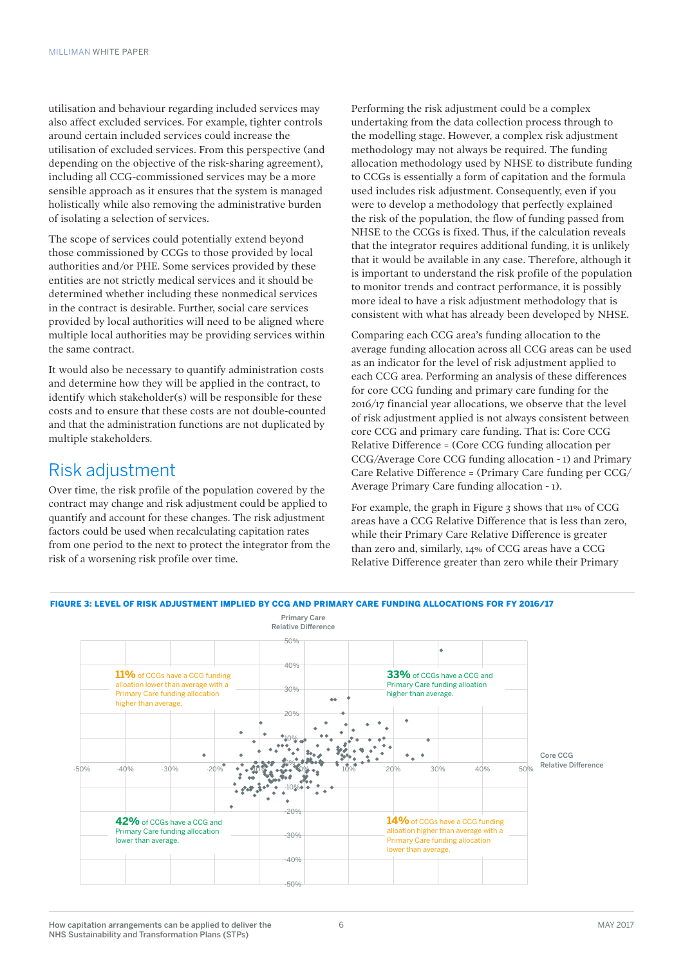utilisation and behaviour regarding included services may also affect excluded services. For example, tighter controls around certain included services could increase the utilisation of excluded services. From this perspective (and depending on the objective of the risk-sharing agreement), including all CCG-commissioned services may be a more sensible approach as it ensures that the system is managed holistically while also removing the administrative burden of isolating a selection of services.

The scope of services could potentially extend beyond those commissioned by CCGs to those provided by local authorities and/or PHE. Some services provided by these entities are not strictly medical services and it should be determined whether including these nonmedical services in the contract is desirable. Further, social care services provided by local authorities will need to be aligned where multiple local authorities may be providing services within the same contract.

It would also be necessary to quantify administration costs and determine how they will be applied in the contract, to identify which stakeholder(s) will be responsible for these costs and to ensure that these costs are not double-counted and that the administration functions are not duplicated by multiple stakeholders.

### Risk adjustment

Over time, the risk profile of the population covered by the contract may change and risk adjustment could be applied to quantify and account for these changes. The risk adjustment factors could be used when recalculating capitation rates from one period to the next to protect the integrator from the risk of a worsening risk profile over time.

Performing the risk adjustment could be a complex undertaking from the data collection process through to the modelling stage. However, a complex risk adjustment methodology may not always be required. The funding allocation methodology used by NHSE to distribute funding to CCGs is essentially a form of capitation and the formula used includes risk adjustment. Consequently, even if you were to develop a methodology that perfectly explained the risk of the population, the flow of funding passed from NHSE to the CCGs is fixed. Thus, if the calculation reveals that the integrator requires additional funding, it is unlikely that it would be available in any case. Therefore, although it is important to understand the risk profile of the population to monitor trends and contract performance, it is possibly more ideal to have a risk adjustment methodology that is consistent with what has already been developed by NHSE.

Comparing each CCG area's funding allocation to the average funding allocation across all CCG areas can be used as an indicator for the level of risk adjustment applied to each CCG area. Performing an analysis of these differences for core CCG funding and primary care funding for the 2016/17 financial year allocations, we observe that the level of risk adjustment applied is not always consistent between core CCG and primary care funding. That is: Core CCG Relative Difference = (Core CCG funding allocation per CCG/Average Core CCG funding allocation - 1) and Primary Care Relative Difference = (Primary Care funding per CCG/ Average Primary Care funding allocation - 1).

For example, the graph in Figure 3 shows that 11% of CCG areas have a CCG Relative Difference that is less than zero, while their Primary Care Relative Difference is greater than zero and, similarly, 14% of CCG areas have a CCG Relative Difference greater than zero while their Primary

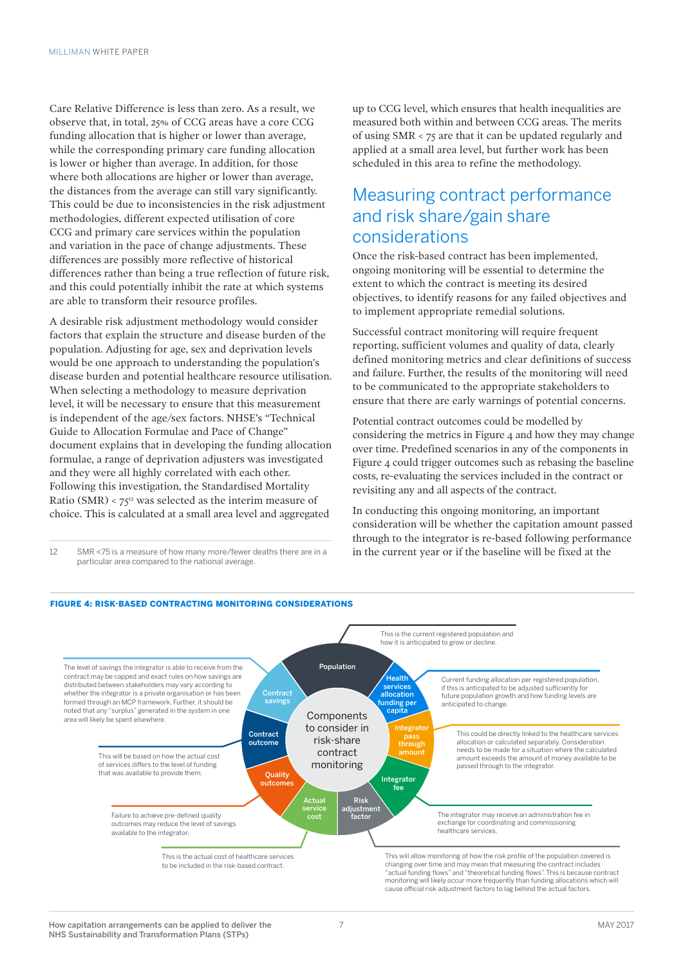Care Relative Difference is less than zero. As a result, we observe that, in total, 25% of CCG areas have a core CCG funding allocation that is higher or lower than average, while the corresponding primary care funding allocation is lower or higher than average. In addition, for those where both allocations are higher or lower than average, the distances from the average can still vary significantly. This could be due to inconsistencies in the risk adjustment methodologies, different expected utilisation of core CCG and primary care services within the population and variation in the pace of change adjustments. These differences are possibly more reflective of historical differences rather than being a true reflection of future risk, and this could potentially inhibit the rate at which systems are able to transform their resource profiles.

A desirable risk adjustment methodology would consider factors that explain the structure and disease burden of the population. Adjusting for age, sex and deprivation levels would be one approach to understanding the population's disease burden and potential healthcare resource utilisation. When selecting a methodology to measure deprivation level, it will be necessary to ensure that this measurement is independent of the age/sex factors. NHSE's "Technical Guide to Allocation Formulae and Pace of Change" document explains that in developing the funding allocation formulae, a range of deprivation adjusters was investigated and they were all highly correlated with each other. Following this investigation, the Standardised Mortality Ratio (SMR) <  $75^{12}$  was selected as the interim measure of choice. This is calculated at a small area level and aggregated

12 SMR <75 is a measure of how many more/fewer deaths there are in a particular area compared to the national average.

up to CCG level, which ensures that health inequalities are measured both within and between CCG areas. The merits of using SMR < 75 are that it can be updated regularly and applied at a small area level, but further work has been scheduled in this area to refine the methodology.

### Measuring contract performance and risk share/gain share considerations

Once the risk-based contract has been implemented, ongoing monitoring will be essential to determine the extent to which the contract is meeting its desired objectives, to identify reasons for any failed objectives and to implement appropriate remedial solutions.

Successful contract monitoring will require frequent reporting, sufficient volumes and quality of data, clearly defined monitoring metrics and clear definitions of success and failure. Further, the results of the monitoring will need to be communicated to the appropriate stakeholders to ensure that there are early warnings of potential concerns.

Potential contract outcomes could be modelled by considering the metrics in Figure  $\alpha$  and how they may change over time. Predefined scenarios in any of the components in Figure 4 could trigger outcomes such as rebasing the baseline costs, re-evaluating the services included in the contract or revisiting any and all aspects of the contract.

In conducting this ongoing monitoring, an important consideration will be whether the capitation amount passed through to the integrator is re-based following performance in the current year or if the baseline will be fixed at the